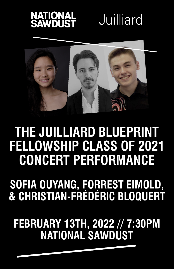

## Juilliard



### **THE JUILLIARD BLUEPRINT FELLOWSHIP CLASS OF 2021 CONCERT PERFORMANCE**

**SOFIA OUYANG, FORREST EIMOLD, & CHRISTIAN-FRÉDÉRIC BLOQUERT**

**FEBRUARY 13TH, 2022 // 7:30PM NATIONAL SAWDUST**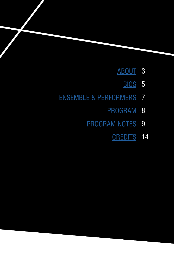- [ABOUT](#page-2-0) 3
	- [BIOS](#page-4-0) 5
- [ENSEMBLE & PERFORMERS](#page-6-0) 7
	- [PROGRAM](#page-7-0) 8
	- [PROGRAM NOTES](#page-8-0) 9
		- **[CREDITS](#page-13-0)** 14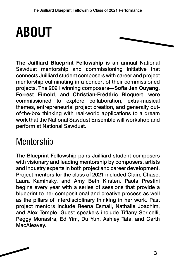## <span id="page-2-0"></span>**ABOUT**



**The Juilliard Blueprint Fellowship** is an annual National Sawdust mentorship and commissioning initiative that connects Juilliard student composers with career and project mentorship culminating in a concert of their commissioned projects. The 2021 winning composers—**Sofia Jen Ouyang, Forrest Eimold**, and **Christian-Frédéric Bloquert**—were commissioned to explore collaboration, extra-musical themes, entrepreneurial project creation, and generally outof-the-box thinking with real-world applications to a dream work that the National Sawdust Ensemble will workshop and perform at National Sawdust.

### Mentorship

The Blueprint Fellowship pairs Juilliard student composers with visionary and leading mentorship by composers, artists and industry experts in both project and career development. Project mentors for the class of 2021 included Claire Chase, Laura Kaminsky, and Amy Beth Kirsten. Paola Prestini begins every year with a series of sessions that provide a blueprint to her compositional and creative process as well as the pillars of interdisciplinary thinking in her work. Past project mentors include Reena Esmail, Nathalie Joachim, and Alex Temple. Guest speakers include Tiffany Soricelli, Peggy Monastra, Ed Yim, Du Yun, Ashley Tata, and Garth MacAleavey.

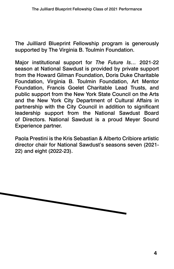The Juilliard Blueprint Fellowship program is generously supported by The Virginia B. Toulmin Foundation.

Major institutional support for *The Future Is…* 2021-22 season at National Sawdust is provided by private support from the Howard Gilman Foundation, Doris Duke Charitable Foundation, Virginia B. Toulmin Foundation, Art Mentor Foundation, Francis Goelet Charitable Lead Trusts, and public support from the New York State Council on the Arts and the New York City Department of Cultural Affairs in partnership with the City Council in addition to significant leadership support from the National Sawdust Board of Directors. National Sawdust is a proud Meyer Sound Experience partner.

Paola Prestini is the Kris Sebastian & Alberto Cribiore artistic director chair for National Sawdust's seasons seven (2021- 22) and eight (2022-23).

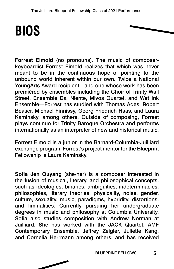### <span id="page-4-0"></span>**BIOS**

**Forrest Eimold** (no pronouns). The music of composerkeyboardist Forrest Eimold realizes that which was never meant to be in the continuous hope of pointing to the unbound world inherent within our own. Twice a National YoungArts Award recipient—and one whose work has been premièred by ensembles including the Choir of Trinity Wall Street, Ensemble Dal Niente, Mivos Quartet, and Wet Ink Ensemble—Forrest has studied with Thomas Adès, Robert Beaser, Michael Finnissy, Georg Friedrich Haas, and Laura Kaminsky, among others. Outside of composing, Forrest plays continuo for Trinity Baroque Orchestra and performs internationally as an interpreter of new and historical music.

Forrest Eimold is a junior in the Barnard-Columbia-Juilliard exchange program. Forrest's project mentor for the Blueprint Fellowship is Laura Kaminsky.

**Sofia Jen Ouyang** (she/her) is a composer interested in the fusion of musical, literary, and philosophical concepts, such as ideologies, binaries, ambiguities, indeterminacies, philosophies, literary theories, physicality, noise, gender, culture, sexuality, music, paradigms, hybridity, distortions, and liminalities. Currently pursuing her undergraduate degrees in music and philosophy at Columbia University, Sofia also studies composition with Andrew Norman at Juilliard. She has worked with the JACK Quartet, AMF Contemporary Ensemble, Jeffrey Zeigler, Juliette Kang, and Cornelia Herrmann among others, and has received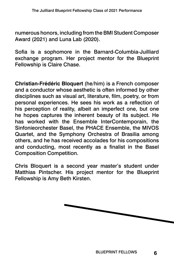numerous honors, including from the BMI Student Composer Award (2021) and Luna Lab (2020).

Sofia is a sophomore in the Barnard-Columbia-Juilliard exchange program. Her project mentor for the Blueprint Fellowship is Claire Chase.

**Christian-Frédéric Bloquert** (he/him) is a French composer and a conductor whose aesthetic is often informed by other disciplines such as visual art, literature, film, poetry, or from personal experiences. He sees his work as a reflection of his perception of reality, albeit an imperfect one, but one he hopes captures the inherent beauty of its subject. He has worked with the Ensemble InterContemporain, the Sinfonieorchester Basel, the PHACE Ensemble, the MIVOS Quartet, and the Symphony Orchestra of Brasilia among others, and he has received accolades for his compositions and conducting, most recently as a finalist in the Basel Composition Competition.

Chris Bloquert is a second year master's student under Matthias Pintscher. His project mentor for the Blueprint Fellowship is Amy Beth Kirsten.

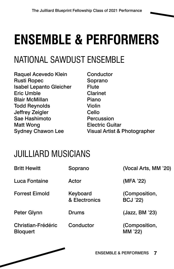## <span id="page-6-0"></span>**ENSEMBLE & PERFORMERS**

### NATIONAL SAWDUST ENSEMBLE

Raquel Acevedo Klein Rusti Ropec Isabel Lepanto Gleicher Eric Umble Blair McMillan Todd Reynolds Jeffrey Zeigler Sae Hashimoto Matt Wong Sydney Chawon Lee

**Conductor** Soprano **Flute** Clarinet Piano Violin Cello Percussion Electric Guitar Visual Artist & Photographer

### JUILLIARD MUSICIANS

| <b>Britt Hewitt</b>                   | Soprano                   | (Vocal Arts, MM '20)             |
|---------------------------------------|---------------------------|----------------------------------|
| Luca Fontaine                         | Actor                     | (MFA '22)                        |
| <b>Forrest Eimold</b>                 | Keyboard<br>& Electronics | (Composition,<br><b>BCJ '22)</b> |
| Peter Glynn                           | <b>Drums</b>              | (Jazz, BM '23)                   |
| Christian-Frédéric<br><b>Bloquert</b> | Conductor                 | (Composition,<br>MM '22)         |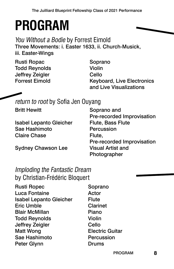## <span id="page-7-0"></span>**PROGRAM**

You Without a Bodie by Forrest Eimold Three Movements: i. Easter 1633, ii. Church-Musick, iii. Easter-Wings

Rusti Ropac Todd Reynolds Jeffrey Zeigler Forrest Eimold

Soprano Violin Cello Keyboard, Live Electronics and Live Visualizations

return to root by Sofia Jen Ouyang

| <b>Britt Hewitt</b>            | Soprano and                |
|--------------------------------|----------------------------|
|                                | Pre-recorded Improvisation |
| <b>Isabel Lepanto Gleicher</b> | Flute, Bass Flute          |
| Sae Hashimoto                  | Percussion                 |
| <b>Claire Chase</b>            | Flute,                     |
|                                | Pre-recorded Improvisation |
| <b>Sydney Chawson Lee</b>      | <b>Visual Artist and</b>   |
|                                | Photographer               |

### Imploding the Fantastic Dream by Christian-Frédéric Bloquert

| <b>Rusti Ropec</b>             | Soprano                |
|--------------------------------|------------------------|
| <b>Luca Fontaine</b>           | Actor                  |
| <b>Isabel Lepanto Gleicher</b> | <b>Flute</b>           |
| <b>Eric Umble</b>              | <b>Clarinet</b>        |
| <b>Blair McMillan</b>          | Piano                  |
| <b>Todd Reynolds</b>           | <b>Violin</b>          |
| Jeffrey Zeigler                | Cello                  |
| <b>Matt Wong</b>               | <b>Electric Guitar</b> |
| Sae Hashimoto                  | <b>Percussion</b>      |
| Peter Glynn                    | <b>Drums</b>           |
|                                |                        |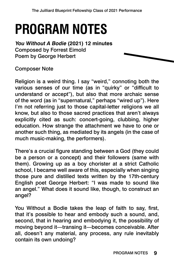## <span id="page-8-0"></span>**PROGRAM NOTES**

**You Without A Bodie (2021) 12 minutes** Composed by Forrest Eimold Poem by George Herbert

Composer Note

Religion is a weird thing. I say "weird," connoting both the various senses of our time (as in "quirky" or "difficult to understand or accept"), but also that more archaic sense of the word (as in "supernatural," perhaps "wired up"). Here I'm not referring just to those capital-letter religions we all know, but also to those sacred practices that aren't always explicitly cited as such: concert-going, clubbing, higher education. How strange the attachment we have to one or another such thing, as mediated by its angels (in the case of much music-making, the performers).

There's a crucial figure standing between a God (they could be a person or a concept) and their followers (same with them). Growing up as a boy chorister at a strict Catholic school, I became well aware of this, especially when singing those pure and distilled texts written by the 17th-century English poet George Herbert: "I was made to sound like an angel." What does it sound like, though, to construct an angel?

You Without a Bodie takes the leap of faith to say, first, that it's possible to hear and embody such a sound, and, second, that in hearing and embodying it, the possibility of moving beyond it—transing it—becomes conceivable. After all, doesn't any material, any process, any rule inevitably contain its own undoing?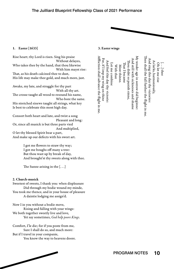#### The Juilliard Blueprint Fellowship Class of 2021 Performance



#### 1. Easter [1633]

Rise heart; thy Lord is risen. Sing his praise Without delayes, Who takes thee by the hand, that thou likewise With him mayst rise: That, as his death calcined thee to dust, His life may make thee gold, and much more, just.

Awake, my lute, and struggle for thy part With all thy art. The crosse taught all wood to resound his name, Who bore the same. His stretched sinews taught all strings, what key Is best to celebrate this most high day.

Consort both heart and lute, and twist a song Pleasant and long: Or, since all musick is but three parts vied And multiplied, O let thy blessed Spirit bear a part, And make up our defects with his sweet art.

> I got me flowers to straw thy way; I got me boughs off many a tree: But thou wast up by break of day, And brought'st thy sweets along with thee.

The Sunne arising in the  $[...]$ 

#### 2. Church-musick

Sweetest of sweets, I thank you: when displeasure Did through my bodie wound my minde, You took me thence, and in your house of pleasure A daintie lodging me assign'd.

Now I in you without a bodie move, Rising and falling with your wings: We both together sweetly live and love, Yet say sometimes, *God help poore Kings*.

Comfort, I'le die; for if you poste from me, Sure I shall do so, and much more: But if I travel in your companie, You know the way to heavens doore.



Affliction shall advance the flight in me Then shall the fall further the flight in me. My tender age in sorrow did beginne: My tender age in sorrow did beginne: Then shall the fall further the flight in me. ffliction shall advance the flight in me.For, if I imp my wing on thine For, if I imp my wing on thine And still with sicknesses and shame And sing this day thy victories: And sing this day thy victories: And still with sicknesses and shame And feel this day thy victorie: Thou didst so punish sinne, As larks, harmoniously As larks, harmoniously, And feel this day thy victorie Oh let me rise [. . .] thee Let me combine Oh let me rise Let me combine Ihat I became With thee With thee ou didst so punish sinne, Most thinne. Most thinne. at I became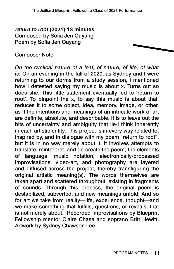#### **return to root (2021) 13 minutes** Composed by Sofia Jen Ouyang Poem by Sofia Jen Ouyang

#### Composer Note

*On the cyclical nature of a leaf, of nature, of life, of what is:* On an evening in the fall of 2020, as Sydney and I were returning to our dorms from a study session, I mentioned how I detested saying my music is about x. Turns out so does she. This little statement eventually led to 'return to root'. To pinpoint the x, to say this music is about that, reduces it to some object, idea, memory, image, or other, as if the intentions and meanings of an intricate work of art are definite, absolute, and describable. It is to leave out the bits of uncertainty and ambiguity that lie-I think inherently in each artistic entity. This project is in every way related to, inspired by, and in dialogue with my poem "return to root", but it is in no way merely about it. It involves attempts to translate, reinterpret, and de-create the poem; the elements of language, music notation, electronically-processed improvisations, video-art, and photography are layered and diffused across the project, thereby transfiguring the original artistic meaning(s). The words themselves are taken apart and scattered throughout, existing in fragments of sounds. Through this process, the original poem is destabilized, subverted, and new meanings unfold. And so for art we take from reality—life, experience, thought—and we make something that fulfills, questions, or reveals, that is not merely about. Recorded improvisations by Blueprint Fellowship mentor Claire Chase and soprano Britt Hewitt. Artwork by Sydney Chawson Lee.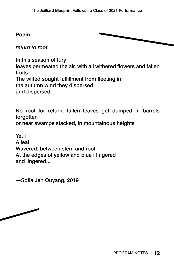#### **Poem**



*return to root*

In this season of fury leaves permeated the air, with all withered flowers and fallen fruits The wilted sought fulfillment from fleeting in the autumn wind they dispersed, and dispersed......

No root for return, fallen leaves get dumped in barrels forgotten

or near swamps stacked, in mountainous heights

Yet I A leaf Wavered, between stem and root At the edges of yellow and blue I lingered and lingered...

—Sofia Jen Ouyang, 2019

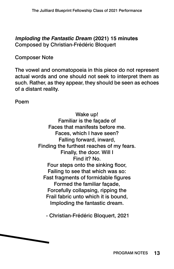**Imploding the Fantastic Dream (2021) 15 minutes** Composed by Christian-Frédéric Bloquert

Composer Note

The vowel and onomatopoeia in this piece do not represent actual words and one should not seek to interpret them as such. Rather, as they appear, they should be seen as echoes of a distant reality.

Poem

Wake up! Familiar is the façade of Faces that manifests before me. Faces, which I have seen? Falling forward, inward, Finding the furthest reaches of my fears. Finally, the door. Will I Find it? No. Four steps onto the sinking floor, Failing to see that which was so: Fast fragments of formidable figures Formed the familiar façade, Forcefully collapsing, ripping the Frail fabric unto which it is bound, Imploding the fantastic dream.

- Christian-Frédéric Bloquert, 2021

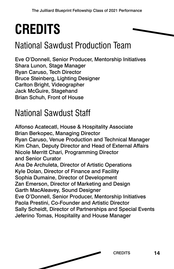## <span id="page-13-0"></span>**CREDITS**

### National Sawdust Production Team

Eve O'Donnell, Senior Producer, Mentorship Initiatives Shara Lunon, Stage Manager Ryan Caruso, Tech Director Bruce Steinberg, Lighting Designer Carlton Bright, Videographer Jack McGuire, Stagehand Brian Schuh, Front of House

### National Sawdust Staff

Alfonso Acatecatl, House & Hospitality Associate Brian Berkopec, Managing Director Ryan Caruso, Venue Production and Technical Manager Kim Chan, Deputy Director and Head of External Affairs Nicole Merritt Chari, Programming Director and Senior Curator Ana De Archuleta, Director of Artistic Operations Kyle Dolan, Director of Finance and Facility Sophia Dumaine, Director of Development Zan Emerson, Director of Marketing and Design Garth MacAleavey, Sound Designer Eve O'Donnell, Senior Producer, Mentorship Initiatives Paola Prestini, Co-Founder and Artistic Director Sally Scheidt, Director of Partnerships and Special Events Jeferino Tomas, Hospitality and House Manager

CREDITS **14**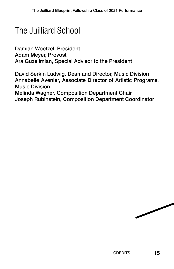### The Juilliard School

Damian Woetzel, President Adam Meyer, Provost Ara Guzelimian, Special Advisor to the President

David Serkin Ludwig, Dean and Director, Music Division Annabelle Avenier, Associate Director of Artistic Programs, Music Division Melinda Wagner, Composition Department Chair Joseph Rubinstein, Composition Department Coordinator